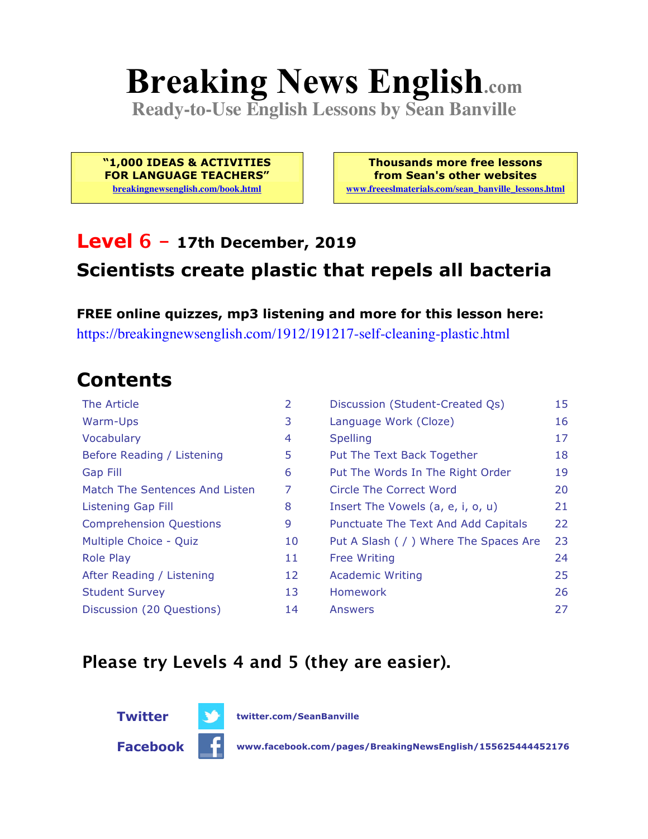# **Breaking News English.com**

**Ready-to-Use English Lessons by Sean Banville**

**"1,000 IDEAS & ACTIVITIES FOR LANGUAGE TEACHERS" breakingnewsenglish.com/book.html**

**Thousands more free lessons from Sean's other websites www.freeeslmaterials.com/sean\_banville\_lessons.html**

#### **Level 6 - 17th December, 2019 Scientists create plastic that repels all bacteria**

**FREE online quizzes, mp3 listening and more for this lesson here:** https://breakingnewsenglish.com/1912/191217-self-cleaning-plastic.html

### **Contents**

| The Article                    | 2  | Discussion (Student-Created Qs)        | 15 |
|--------------------------------|----|----------------------------------------|----|
| Warm-Ups                       | 3  | Language Work (Cloze)                  | 16 |
| Vocabulary                     | 4  | <b>Spelling</b>                        | 17 |
| Before Reading / Listening     | 5  | Put The Text Back Together             | 18 |
| <b>Gap Fill</b>                | 6  | Put The Words In The Right Order       | 19 |
| Match The Sentences And Listen | 7  | <b>Circle The Correct Word</b>         | 20 |
| <b>Listening Gap Fill</b>      | 8  | Insert The Vowels (a, e, i, o, u)      | 21 |
| <b>Comprehension Questions</b> | 9  | Punctuate The Text And Add Capitals    | 22 |
| Multiple Choice - Quiz         | 10 | Put A Slash ( / ) Where The Spaces Are | 23 |
| <b>Role Play</b>               | 11 | <b>Free Writing</b>                    | 24 |
| After Reading / Listening      | 12 | <b>Academic Writing</b>                | 25 |
| <b>Student Survey</b>          | 13 | Homework                               | 26 |
| Discussion (20 Questions)      | 14 | Answers                                | 27 |

#### **Please try Levels 4 and 5 (they are easier).**



**Twitter twitter.com/SeanBanville**

**Facebook www.facebook.com/pages/BreakingNewsEnglish/155625444452176**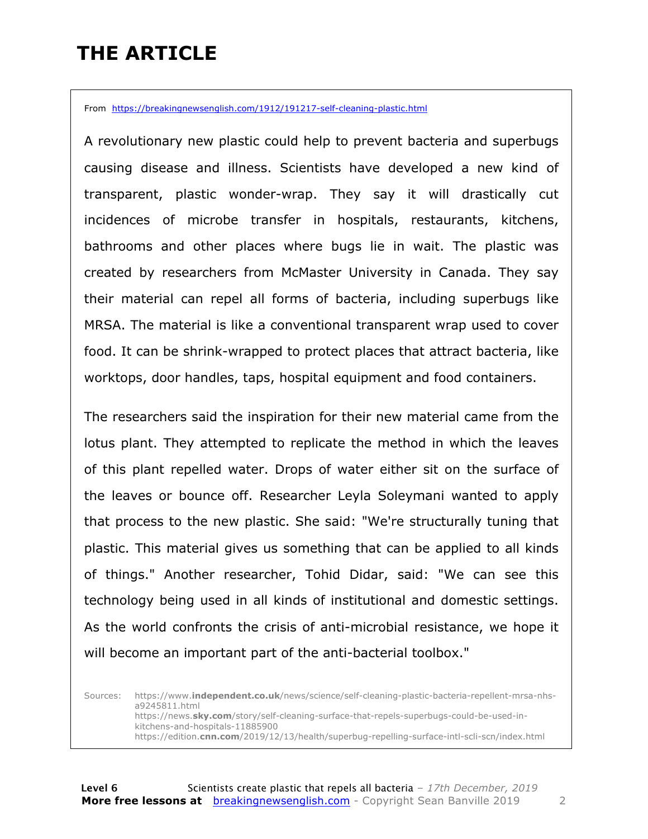### **THE ARTICLE**

From https://breakingnewsenglish.com/1912/191217-self-cleaning-plastic.html

A revolutionary new plastic could help to prevent bacteria and superbugs causing disease and illness. Scientists have developed a new kind of transparent, plastic wonder-wrap. They say it will drastically cut incidences of microbe transfer in hospitals, restaurants, kitchens, bathrooms and other places where bugs lie in wait. The plastic was created by researchers from McMaster University in Canada. They say their material can repel all forms of bacteria, including superbugs like MRSA. The material is like a conventional transparent wrap used to cover food. It can be shrink-wrapped to protect places that attract bacteria, like worktops, door handles, taps, hospital equipment and food containers.

The researchers said the inspiration for their new material came from the lotus plant. They attempted to replicate the method in which the leaves of this plant repelled water. Drops of water either sit on the surface of the leaves or bounce off. Researcher Leyla Soleymani wanted to apply that process to the new plastic. She said: "We're structurally tuning that plastic. This material gives us something that can be applied to all kinds of things." Another researcher, Tohid Didar, said: "We can see this technology being used in all kinds of institutional and domestic settings. As the world confronts the crisis of anti-microbial resistance, we hope it will become an important part of the anti-bacterial toolbox."

Sources: https://www.**independent.co.uk**/news/science/self-cleaning-plastic-bacteria-repellent-mrsa-nhsa9245811.html https://news.**sky.com**/story/self-cleaning-surface-that-repels-superbugs-could-be-used-inkitchens-and-hospitals-11885900 https://edition.**cnn.com**/2019/12/13/health/superbug-repelling-surface-intl-scli-scn/index.html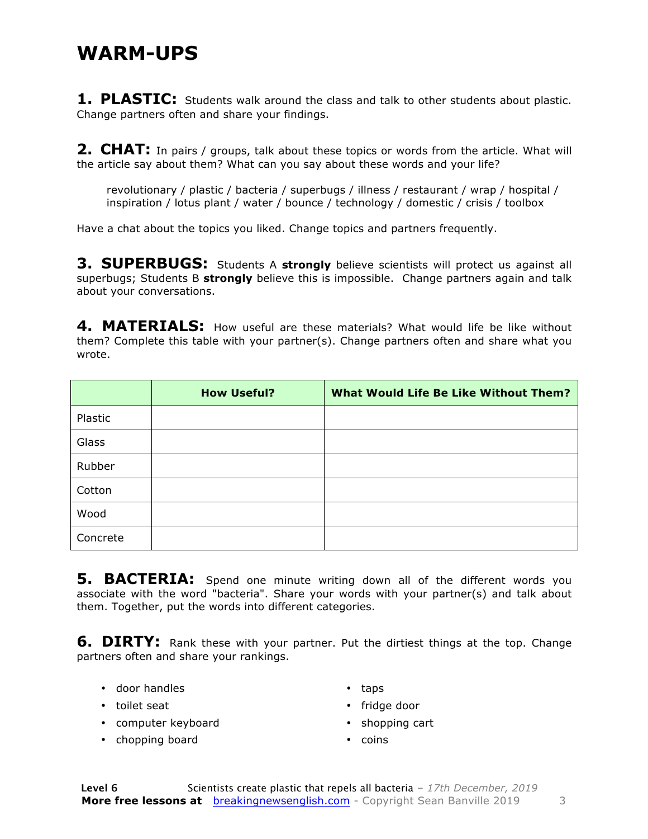#### **WARM-UPS**

**1. PLASTIC:** Students walk around the class and talk to other students about plastic. Change partners often and share your findings.

**2. CHAT:** In pairs / groups, talk about these topics or words from the article. What will the article say about them? What can you say about these words and your life?

revolutionary / plastic / bacteria / superbugs / illness / restaurant / wrap / hospital / inspiration / lotus plant / water / bounce / technology / domestic / crisis / toolbox

Have a chat about the topics you liked. Change topics and partners frequently.

**3. SUPERBUGS:** Students A **strongly** believe scientists will protect us against all superbugs; Students B **strongly** believe this is impossible. Change partners again and talk about your conversations.

4. MATERIALS: How useful are these materials? What would life be like without them? Complete this table with your partner(s). Change partners often and share what you wrote.

|          | <b>How Useful?</b> | <b>What Would Life Be Like Without Them?</b> |
|----------|--------------------|----------------------------------------------|
| Plastic  |                    |                                              |
| Glass    |                    |                                              |
| Rubber   |                    |                                              |
| Cotton   |                    |                                              |
| Wood     |                    |                                              |
| Concrete |                    |                                              |

**5. BACTERIA:** Spend one minute writing down all of the different words you associate with the word "bacteria". Share your words with your partner(s) and talk about them. Together, put the words into different categories.

**6. DIRTY:** Rank these with your partner. Put the dirtiest things at the top. Change partners often and share your rankings.

• door handles

• taps

• toilet seat

- computer keyboard
- chopping board
- fridge door
- shopping cart
- coins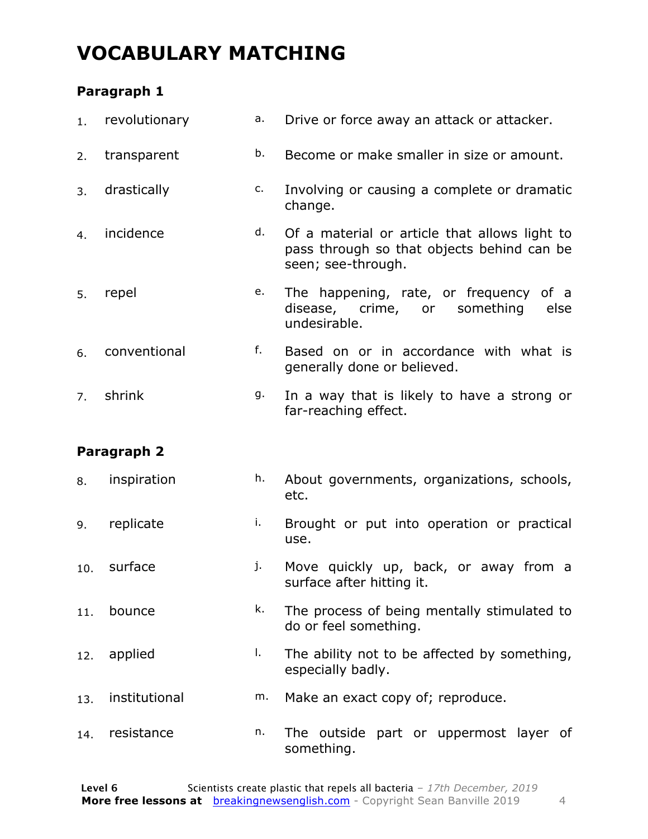### **VOCABULARY MATCHING**

#### **Paragraph 1**

| 1.  | revolutionary | а. | Drive or force away an attack or attacker.                                                                        |
|-----|---------------|----|-------------------------------------------------------------------------------------------------------------------|
| 2.  | transparent   | b. | Become or make smaller in size or amount.                                                                         |
| 3.  | drastically   | c. | Involving or causing a complete or dramatic<br>change.                                                            |
| 4.  | incidence     | d. | Of a material or article that allows light to<br>pass through so that objects behind can be<br>seen; see-through. |
| 5.  | repel         | e. | The happening, rate, or frequency of a<br>disease, crime, or<br>something<br>else<br>undesirable.                 |
| 6.  | conventional  | f. | Based on or in accordance with what is<br>generally done or believed.                                             |
| 7.  | shrink        | g. | In a way that is likely to have a strong or<br>far-reaching effect.                                               |
|     |               |    |                                                                                                                   |
|     | Paragraph 2   |    |                                                                                                                   |
| 8.  | inspiration   | h. | About governments, organizations, schools,<br>etc.                                                                |
| 9.  | replicate     | i. | Brought or put into operation or practical<br>use.                                                                |
| 10. | surface       | j. | Move quickly up, back, or away from a<br>surface after hitting it.                                                |
| 11. | bounce        | k. | The process of being mentally stimulated to<br>do or feel something.                                              |
| 12. | applied       | I. | The ability not to be affected by something,<br>especially badly.                                                 |
| 13. | institutional | m. | Make an exact copy of; reproduce.                                                                                 |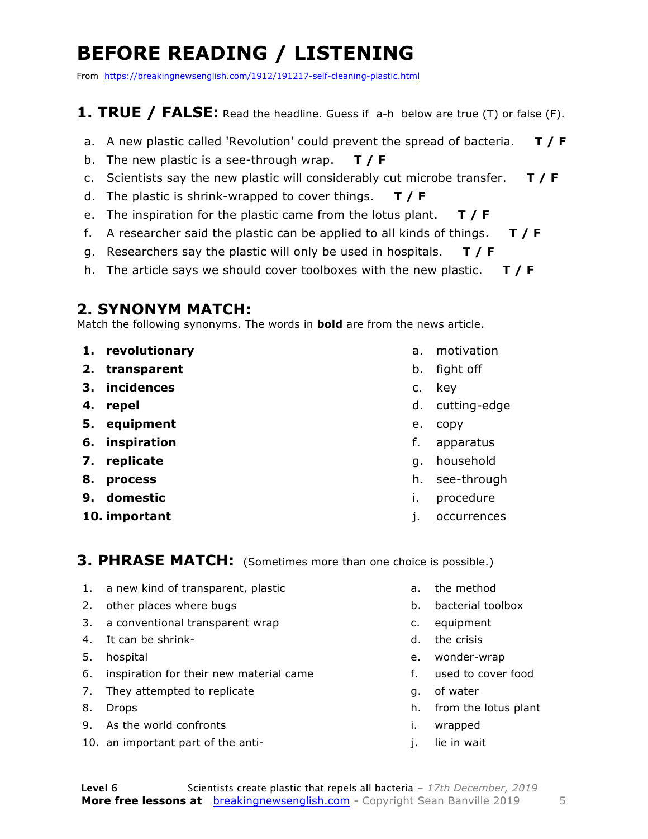### **BEFORE READING / LISTENING**

From https://breakingnewsenglish.com/1912/191217-self-cleaning-plastic.html

#### **1. TRUE / FALSE:** Read the headline. Guess if a-h below are true (T) or false (F).

- a. A new plastic called 'Revolution' could prevent the spread of bacteria. **T / F**
- b. The new plastic is a see-through wrap. **T / F**
- c. Scientists say the new plastic will considerably cut microbe transfer. **T / F**
- d. The plastic is shrink-wrapped to cover things. **T / F**
- e. The inspiration for the plastic came from the lotus plant. **T / F**
- f. A researcher said the plastic can be applied to all kinds of things. **T / F**
- g. Researchers say the plastic will only be used in hospitals. **T / F**
- h. The article says we should cover toolboxes with the new plastic. **T / F**

#### **2. SYNONYM MATCH:**

Match the following synonyms. The words in **bold** are from the news article.

- **1. revolutionary**
- **2. transparent**
- **3. incidences**
- **4. repel**
- **5. equipment**
- **6. inspiration**
- **7. replicate**
- **8. process**
- **9. domestic**
- **10. important**
- a. motivation
- b. fight off
- c. key
- d. cutting-edge
- e. copy
- f. apparatus
- g. household
- h. see-through
- i. procedure
- j. occurrences

#### **3. PHRASE MATCH:** (Sometimes more than one choice is possible.)

- 1. a new kind of transparent, plastic
- 2. other places where bugs
- 3. a conventional transparent wrap
- 4. It can be shrink-
- 5. hospital
- 6. inspiration for their new material came
- 7. They attempted to replicate
- 8. Drops
- 9. As the world confronts
- 10. an important part of the anti-
- a. the method
- b. bacterial toolbox
- c. equipment
- d. the crisis
- e. wonder-wrap
- f. used to cover food
- g. of water
- h. from the lotus plant
- i. wrapped
- j. lie in wait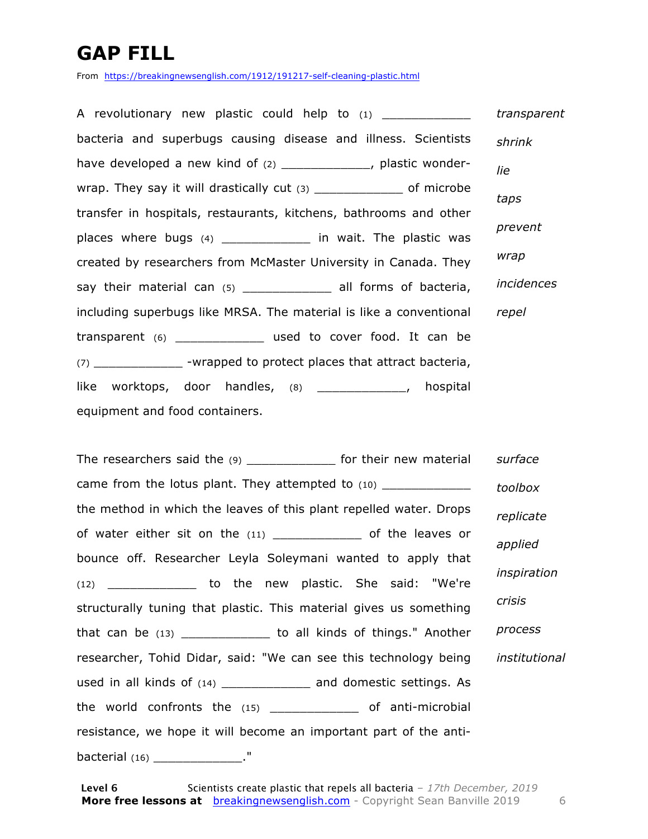### **GAP FILL**

From https://breakingnewsenglish.com/1912/191217-self-cleaning-plastic.html

A revolutionary new plastic could help to (1) bacteria and superbugs causing disease and illness. Scientists have developed a new kind of (2) The setting plastic wonderwrap. They say it will drastically cut (3) \_\_\_\_\_\_\_\_\_\_\_\_\_\_ of microbe transfer in hospitals, restaurants, kitchens, bathrooms and other places where bugs (4) \_\_\_\_\_\_\_\_\_\_\_\_ in wait. The plastic was created by researchers from McMaster University in Canada. They say their material can (5) \_\_\_\_\_\_\_\_\_\_\_\_\_\_\_ all forms of bacteria, including superbugs like MRSA. The material is like a conventional transparent (6) \_\_\_\_\_\_\_\_\_\_\_\_ used to cover food. It can be (7) \_\_\_\_\_\_\_\_\_\_\_\_ -wrapped to protect places that attract bacteria, like worktops, door handles, (8) \_\_\_\_\_\_\_\_\_\_\_\_, hospital equipment and food containers. *transparent shrink lie taps prevent wrap incidences repel*

The researchers said the (9) [10] [10] for their new material came from the lotus plant. They attempted to (10) the method in which the leaves of this plant repelled water. Drops of water either sit on the (11) \_\_\_\_\_\_\_\_\_\_\_\_\_\_\_ of the leaves or bounce off. Researcher Leyla Soleymani wanted to apply that (12) \_\_\_\_\_\_\_\_\_\_\_\_ to the new plastic. She said: "We're structurally tuning that plastic. This material gives us something that can be (13) \_\_\_\_\_\_\_\_\_\_\_\_ to all kinds of things." Another researcher, Tohid Didar, said: "We can see this technology being used in all kinds of (14) \_\_\_\_\_\_\_\_\_\_\_\_ and domestic settings. As the world confronts the (15) \_\_\_\_\_\_\_\_\_\_\_\_ of anti-microbial resistance, we hope it will become an important part of the antibacterial (16) \_\_\_\_\_\_\_\_\_\_\_\_\_\_\_." *surface toolbox replicate applied inspiration crisis process institutional*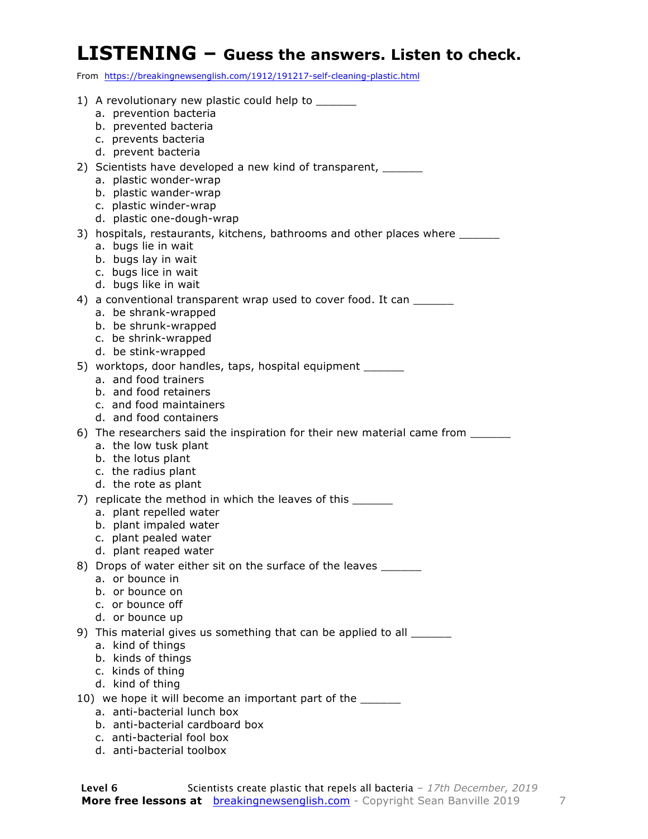#### **LISTENING – Guess the answers. Listen to check.**

From https://breakingnewsenglish.com/1912/191217-self-cleaning-plastic.html

| 1) A revolutionary new plastic could help to _______<br>a. prevention bacteria  |
|---------------------------------------------------------------------------------|
| b. prevented bacteria                                                           |
| c. prevents bacteria                                                            |
| d. prevent bacteria                                                             |
| 2) Scientists have developed a new kind of transparent, _______                 |
| a. plastic wonder-wrap                                                          |
| b. plastic wander-wrap                                                          |
| c. plastic winder-wrap                                                          |
| d. plastic one-dough-wrap                                                       |
| 3) hospitals, restaurants, kitchens, bathrooms and other places where _______   |
| a. bugs lie in wait                                                             |
| b. bugs lay in wait                                                             |
| c. bugs lice in wait                                                            |
| d. bugs like in wait                                                            |
| 4) a conventional transparent wrap used to cover food. It can ______            |
| a. be shrank-wrapped<br>b. be shrunk-wrapped                                    |
| c. be shrink-wrapped                                                            |
| d. be stink-wrapped                                                             |
| 5) worktops, door handles, taps, hospital equipment _______                     |
| a. and food trainers                                                            |
| b. and food retainers                                                           |
| c. and food maintainers                                                         |
| d. and food containers                                                          |
| 6) The researchers said the inspiration for their new material came from ______ |
| a. the low tusk plant                                                           |
| b. the lotus plant                                                              |
| c. the radius plant                                                             |
| d. the rote as plant                                                            |
| 7) replicate the method in which the leaves of this                             |
| a. plant repelled water                                                         |
| b. plant impaled water                                                          |
| c. plant pealed water<br>d. plant reaped water                                  |
| 8) Drops of water either sit on the surface of the leaves ______                |
| a. or bounce in                                                                 |
| b. or bounce on                                                                 |
| c. or bounce off                                                                |
| d. or bounce up                                                                 |
| 9) This material gives us something that can be applied to all ______           |
| a. kind of things                                                               |
| b. kinds of things                                                              |
| c. kinds of thing                                                               |
| d. kind of thing                                                                |
| 10) we hope it will become an important part of the ______                      |
| a. anti-bacterial lunch box                                                     |
| b. anti-bacterial cardboard box                                                 |
| c. anti-bacterial fool box                                                      |

d. anti-bacterial toolbox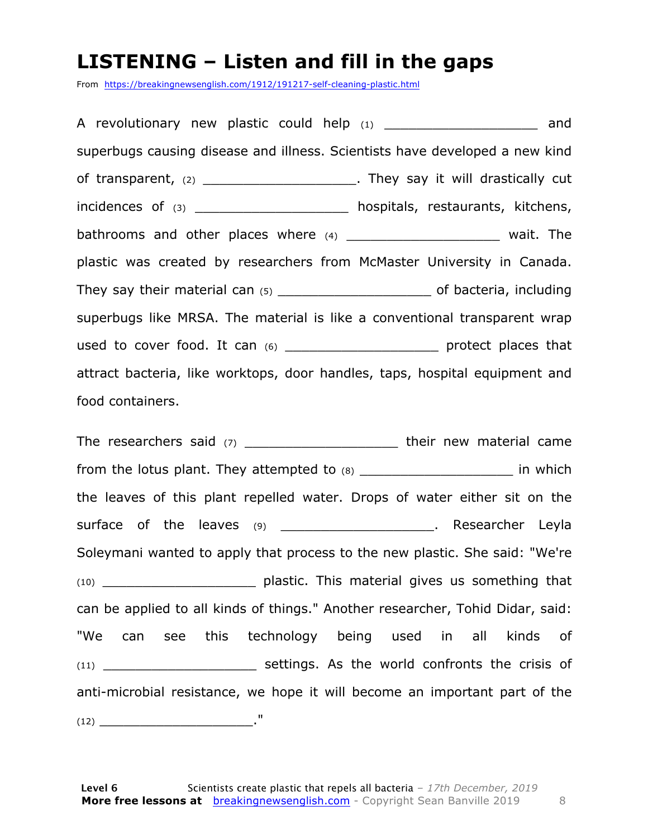#### **LISTENING – Listen and fill in the gaps**

From https://breakingnewsenglish.com/1912/191217-self-cleaning-plastic.html

A revolutionary new plastic could help  $(1)$  and superbugs causing disease and illness. Scientists have developed a new kind of transparent, (2) \_\_\_\_\_\_\_\_\_\_\_\_\_\_\_\_\_\_\_\_\_\_\_. They say it will drastically cut incidences of (3) \_\_\_\_\_\_\_\_\_\_\_\_\_\_\_\_\_\_\_\_\_ hospitals, restaurants, kitchens, bathrooms and other places where  $(4)$  \_\_\_\_\_\_\_\_\_\_\_\_\_\_\_\_\_\_\_\_\_\_\_\_\_ wait. The plastic was created by researchers from McMaster University in Canada. They say their material can (5) \_\_\_\_\_\_\_\_\_\_\_\_\_\_\_\_\_\_\_\_\_\_\_\_\_\_\_ of bacteria, including superbugs like MRSA. The material is like a conventional transparent wrap used to cover food. It can (6) \_\_\_\_\_\_\_\_\_\_\_\_\_\_\_\_\_\_\_\_\_\_\_\_\_ protect places that attract bacteria, like worktops, door handles, taps, hospital equipment and food containers.

The researchers said (7) \_\_\_\_\_\_\_\_\_\_\_\_\_\_\_\_\_\_\_\_\_\_\_\_\_\_\_ their new material came from the lotus plant. They attempted to  $(8)$  \_\_\_\_\_\_\_\_\_\_\_\_\_\_\_\_\_\_\_\_\_\_\_\_\_\_\_ in which the leaves of this plant repelled water. Drops of water either sit on the surface of the leaves (9) \_\_\_\_\_\_\_\_\_\_\_\_\_\_\_\_\_\_\_\_\_\_. Researcher Leyla Soleymani wanted to apply that process to the new plastic. She said: "We're (10) \_\_\_\_\_\_\_\_\_\_\_\_\_\_\_\_\_\_\_ plastic. This material gives us something that can be applied to all kinds of things." Another researcher, Tohid Didar, said: "We can see this technology being used in all kinds of (11) **Settings.** As the world confronts the crisis of anti-microbial resistance, we hope it will become an important part of the (12) \_\_\_\_\_\_\_\_\_\_\_\_\_\_\_\_\_\_\_."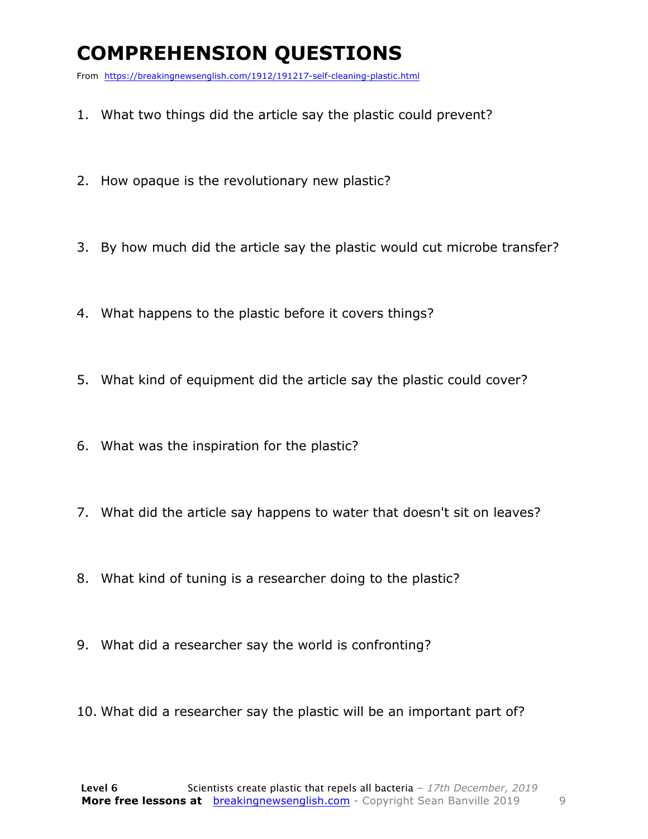### **COMPREHENSION QUESTIONS**

From https://breakingnewsenglish.com/1912/191217-self-cleaning-plastic.html

- 1. What two things did the article say the plastic could prevent?
- 2. How opaque is the revolutionary new plastic?
- 3. By how much did the article say the plastic would cut microbe transfer?
- 4. What happens to the plastic before it covers things?
- 5. What kind of equipment did the article say the plastic could cover?
- 6. What was the inspiration for the plastic?
- 7. What did the article say happens to water that doesn't sit on leaves?
- 8. What kind of tuning is a researcher doing to the plastic?
- 9. What did a researcher say the world is confronting?
- 10. What did a researcher say the plastic will be an important part of?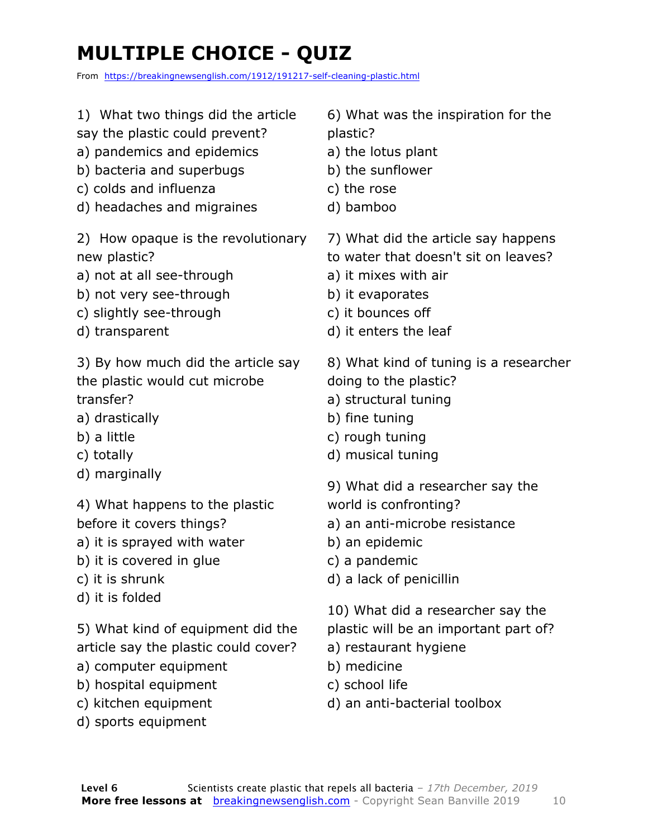## **MULTIPLE CHOICE - QUIZ**

From https://breakingnewsenglish.com/1912/191217-self-cleaning-plastic.html

- 1) What two things did the article
- say the plastic could prevent?
- a) pandemics and epidemics
- b) bacteria and superbugs
- c) colds and influenza
- d) headaches and migraines

2) How opaque is the revolutionary new plastic?

- a) not at all see-through
- b) not very see-through
- c) slightly see-through
- d) transparent

3) By how much did the article say the plastic would cut microbe transfer?

- a) drastically
- b) a little
- c) totally
- d) marginally

4) What happens to the plastic before it covers things?

- a) it is sprayed with water
- b) it is covered in glue
- c) it is shrunk
- d) it is folded

5) What kind of equipment did the article say the plastic could cover?

- a) computer equipment
- b) hospital equipment
- c) kitchen equipment
- d) sports equipment

6) What was the inspiration for the plastic?

- a) the lotus plant
- b) the sunflower
- c) the rose
- d) bamboo
- 7) What did the article say happens
- to water that doesn't sit on leaves?
- a) it mixes with air
- b) it evaporates
- c) it bounces off
- d) it enters the leaf

8) What kind of tuning is a researcher doing to the plastic?

- a) structural tuning
- b) fine tuning
- c) rough tuning
- d) musical tuning
- 9) What did a researcher say the world is confronting?
- a) an anti-microbe resistance
- b) an epidemic
- c) a pandemic
- d) a lack of penicillin

10) What did a researcher say the

- plastic will be an important part of?
- a) restaurant hygiene
- b) medicine
- c) school life
- d) an anti-bacterial toolbox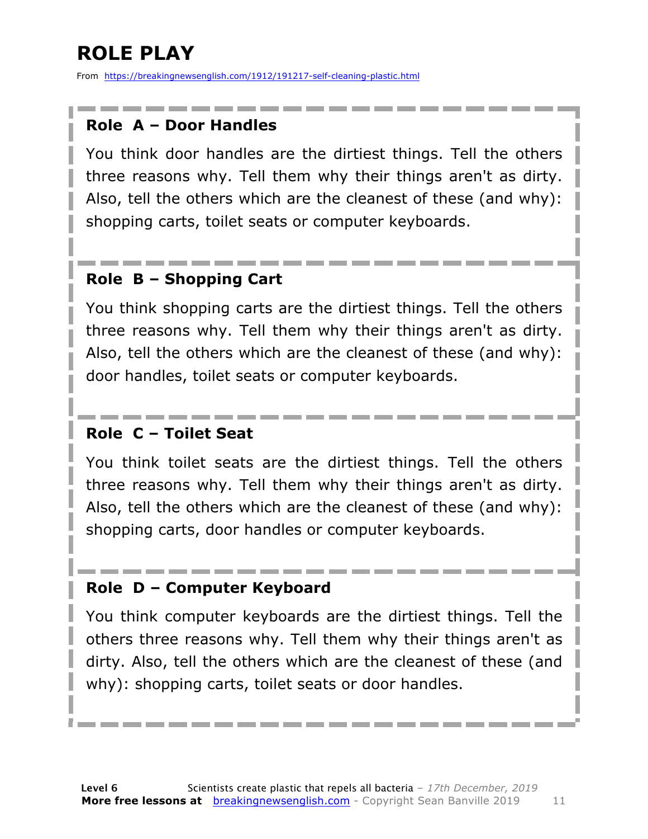### **ROLE PLAY**

From https://breakingnewsenglish.com/1912/191217-self-cleaning-plastic.html

#### **Role A – Door Handles**

You think door handles are the dirtiest things. Tell the others three reasons why. Tell them why their things aren't as dirty. Also, tell the others which are the cleanest of these (and why): shopping carts, toilet seats or computer keyboards.

#### **Role B – Shopping Cart**

You think shopping carts are the dirtiest things. Tell the others three reasons why. Tell them why their things aren't as dirty. Also, tell the others which are the cleanest of these (and why): door handles, toilet seats or computer keyboards.

#### **Role C – Toilet Seat**

You think toilet seats are the dirtiest things. Tell the others three reasons why. Tell them why their things aren't as dirty. Also, tell the others which are the cleanest of these (and why): shopping carts, door handles or computer keyboards.

#### **Role D – Computer Keyboard**

You think computer keyboards are the dirtiest things. Tell the others three reasons why. Tell them why their things aren't as dirty. Also, tell the others which are the cleanest of these (and why): shopping carts, toilet seats or door handles.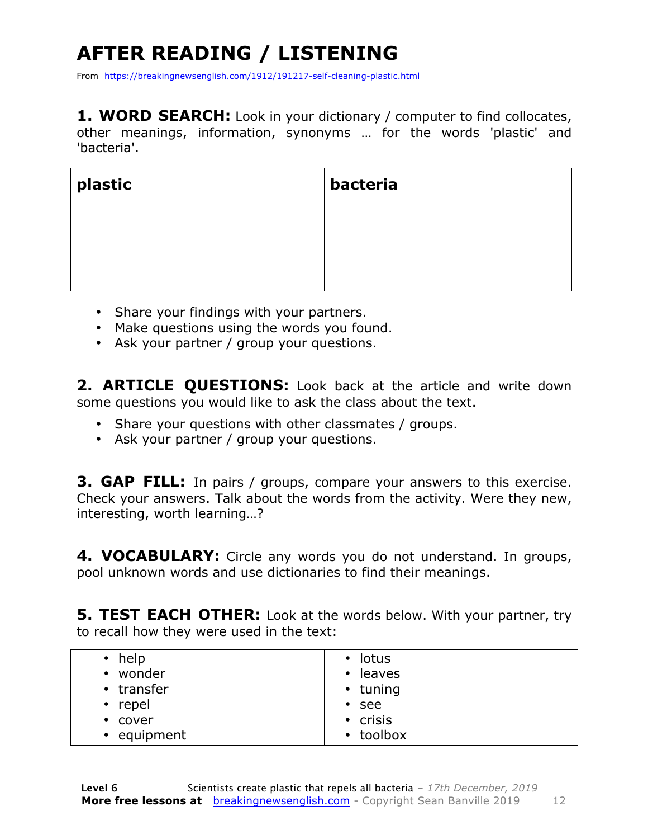## **AFTER READING / LISTENING**

From https://breakingnewsenglish.com/1912/191217-self-cleaning-plastic.html

**1. WORD SEARCH:** Look in your dictionary / computer to find collocates, other meanings, information, synonyms … for the words 'plastic' and 'bacteria'.

| plastic | bacteria |
|---------|----------|
|         |          |
|         |          |

- Share your findings with your partners.
- Make questions using the words you found.
- Ask your partner / group your questions.

**2. ARTICLE QUESTIONS:** Look back at the article and write down some questions you would like to ask the class about the text.

- Share your questions with other classmates / groups.
- Ask your partner / group your questions.

**3. GAP FILL:** In pairs / groups, compare your answers to this exercise. Check your answers. Talk about the words from the activity. Were they new, interesting, worth learning…?

**4. VOCABULARY:** Circle any words you do not understand. In groups, pool unknown words and use dictionaries to find their meanings.

**5. TEST EACH OTHER:** Look at the words below. With your partner, try to recall how they were used in the text:

| $\cdot$ help | • lotus             |
|--------------|---------------------|
| • wonder     | leaves<br>$\bullet$ |
| • transfer   | • tuning            |
| • repel      | $\cdot$ see         |
| • cover      | $\cdot$ crisis      |
| • equipment  | • toolbox           |
|              |                     |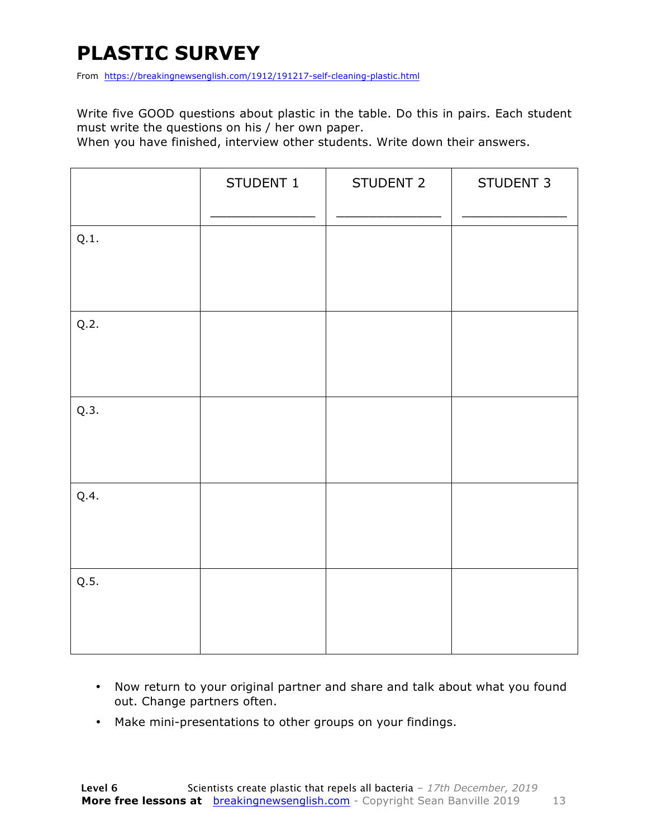### **PLASTIC SURVEY**

From https://breakingnewsenglish.com/1912/191217-self-cleaning-plastic.html

Write five GOOD questions about plastic in the table. Do this in pairs. Each student must write the questions on his / her own paper.

When you have finished, interview other students. Write down their answers.

|      | STUDENT 1 | STUDENT 2 | STUDENT 3 |
|------|-----------|-----------|-----------|
| Q.1. |           |           |           |
| Q.2. |           |           |           |
| Q.3. |           |           |           |
| Q.4. |           |           |           |
| Q.5. |           |           |           |

- Now return to your original partner and share and talk about what you found out. Change partners often.
- Make mini-presentations to other groups on your findings.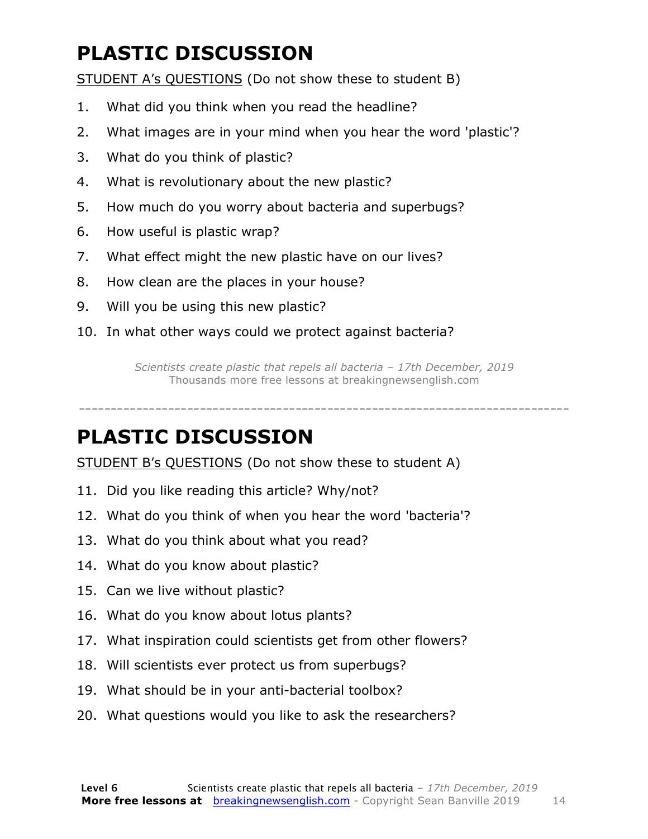### **PLASTIC DISCUSSION**

STUDENT A's QUESTIONS (Do not show these to student B)

- 1. What did you think when you read the headline?
- 2. What images are in your mind when you hear the word 'plastic'?
- 3. What do you think of plastic?
- 4. What is revolutionary about the new plastic?
- 5. How much do you worry about bacteria and superbugs?
- 6. How useful is plastic wrap?
- 7. What effect might the new plastic have on our lives?
- 8. How clean are the places in your house?
- 9. Will you be using this new plastic?
- 10. In what other ways could we protect against bacteria?

*Scientists create plastic that repels all bacteria – 17th December, 2019* Thousands more free lessons at breakingnewsenglish.com

-----------------------------------------------------------------------------

#### **PLASTIC DISCUSSION**

STUDENT B's QUESTIONS (Do not show these to student A)

- 11. Did you like reading this article? Why/not?
- 12. What do you think of when you hear the word 'bacteria'?
- 13. What do you think about what you read?
- 14. What do you know about plastic?
- 15. Can we live without plastic?
- 16. What do you know about lotus plants?
- 17. What inspiration could scientists get from other flowers?
- 18. Will scientists ever protect us from superbugs?
- 19. What should be in your anti-bacterial toolbox?
- 20. What questions would you like to ask the researchers?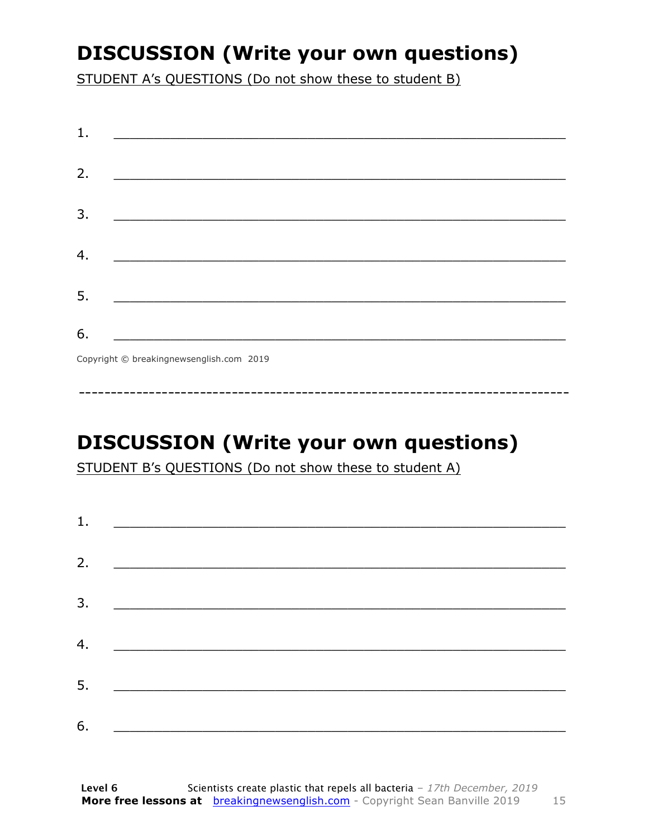### **DISCUSSION (Write your own questions)**

STUDENT A's QUESTIONS (Do not show these to student B)

| 1. |                                          |
|----|------------------------------------------|
|    |                                          |
| 2. |                                          |
|    |                                          |
| 3. |                                          |
|    |                                          |
| 4. |                                          |
|    |                                          |
| 5. |                                          |
|    |                                          |
| 6. |                                          |
|    | Copyright © breakingnewsenglish.com 2019 |

**DISCUSSION (Write your own questions)** 

STUDENT B's QUESTIONS (Do not show these to student A)

| 1. | <u> 1980 - Andrea Amerikaanse kommunister (</u>                                                                        |  |  |
|----|------------------------------------------------------------------------------------------------------------------------|--|--|
| 2. |                                                                                                                        |  |  |
| 3. |                                                                                                                        |  |  |
|    | <u> Termin de la propincia de la propincia de la propincia de la propincia de la propincia de la propincia de la p</u> |  |  |
| 4. | <u> 1989 - Andrea Station, amerikansk politik (</u>                                                                    |  |  |
| 5. | <u> 1986 - Johann Stoff, deutscher Stoffen und der Stoffen und der Stoffen und der Stoffen und der Stoffen und der</u> |  |  |
| 6. |                                                                                                                        |  |  |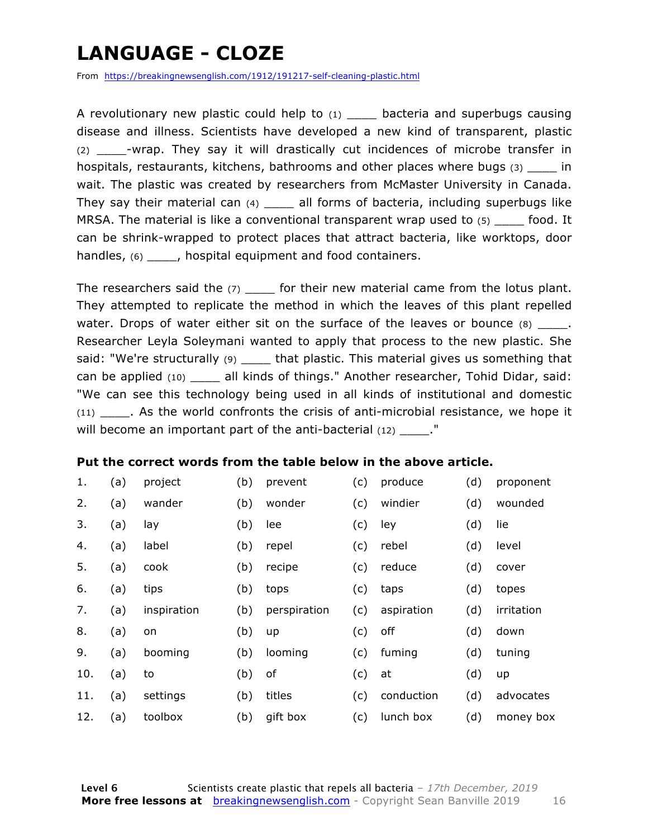### **LANGUAGE - CLOZE**

From https://breakingnewsenglish.com/1912/191217-self-cleaning-plastic.html

A revolutionary new plastic could help to  $(1)$  bacteria and superbugs causing disease and illness. Scientists have developed a new kind of transparent, plastic (2) \_\_\_\_-wrap. They say it will drastically cut incidences of microbe transfer in hospitals, restaurants, kitchens, bathrooms and other places where bugs (3)  $\qquad \qquad$  in wait. The plastic was created by researchers from McMaster University in Canada. They say their material can  $(4)$  \_\_\_\_ all forms of bacteria, including superbugs like MRSA. The material is like a conventional transparent wrap used to  $(5)$  food. It can be shrink-wrapped to protect places that attract bacteria, like worktops, door handles,  $(6)$  \_\_\_\_, hospital equipment and food containers.

The researchers said the  $(7)$  for their new material came from the lotus plant. They attempted to replicate the method in which the leaves of this plant repelled water. Drops of water either sit on the surface of the leaves or bounce  $(8)$  \_\_\_\_. Researcher Leyla Soleymani wanted to apply that process to the new plastic. She said: "We're structurally (9) \_\_\_\_\_ that plastic. This material gives us something that can be applied (10) \_\_\_\_ all kinds of things." Another researcher, Tohid Didar, said: "We can see this technology being used in all kinds of institutional and domestic (11) \_\_\_\_. As the world confronts the crisis of anti-microbial resistance, we hope it will become an important part of the anti-bacterial  $(12)$ .  $"$ 

#### **Put the correct words from the table below in the above article.**

| 1.  | (a) | project     | (b) | prevent      | (c) | produce    | (d) | proponent  |
|-----|-----|-------------|-----|--------------|-----|------------|-----|------------|
| 2.  | (a) | wander      | (b) | wonder       | (c) | windier    | (d) | wounded    |
| 3.  | (a) | lay         | (b) | lee          | (c) | ley        | (d) | lie        |
| 4.  | (a) | label       | (b) | repel        | (c) | rebel      | (d) | level      |
| 5.  | (a) | cook        | (b) | recipe       | (c) | reduce     | (d) | cover      |
| 6.  | (a) | tips        | (b) | tops         | (c) | taps       | (d) | topes      |
| 7.  | (a) | inspiration | (b) | perspiration | (c) | aspiration | (d) | irritation |
| 8.  | (a) | on          | (b) | up           | (c) | off        | (d) | down       |
| 9.  | (a) | booming     | (b) | looming      | (c) | fuming     | (d) | tuning     |
| 10. | (a) | to          | (b) | of           | (c) | at         | (d) | up         |
| 11. | (a) | settings    | (b) | titles       | (c) | conduction | (d) | advocates  |
| 12. | (a) | toolbox     | (b) | gift box     | (c) | lunch box  | (d) | money box  |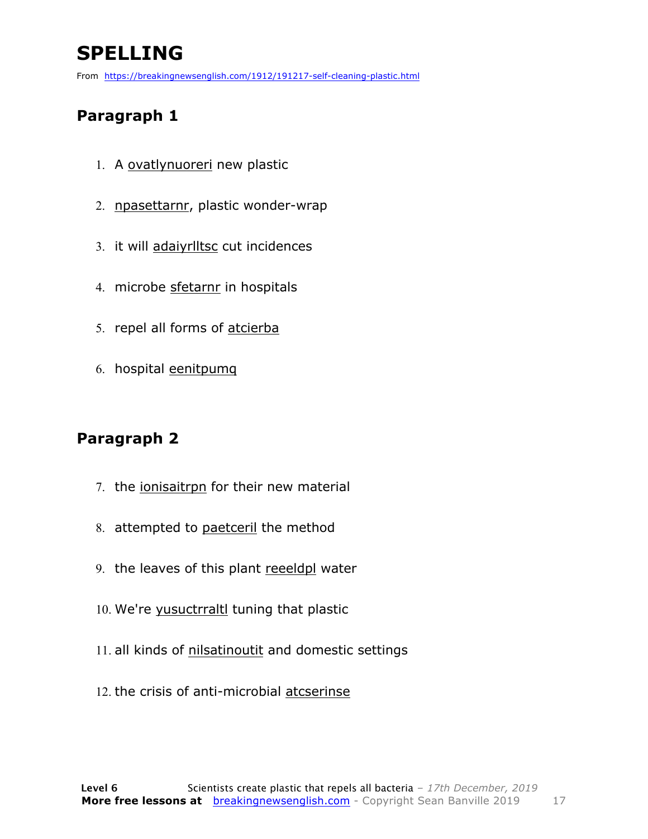### **SPELLING**

From https://breakingnewsenglish.com/1912/191217-self-cleaning-plastic.html

#### **Paragraph 1**

- 1. A ovatlynuoreri new plastic
- 2. npasettarnr, plastic wonder-wrap
- 3. it will adaiyrlltsc cut incidences
- 4. microbe sfetarnr in hospitals
- 5. repel all forms of atcierba
- 6. hospital eenitpumq

#### **Paragraph 2**

- 7. the ionisaitrpn for their new material
- 8. attempted to paetceril the method
- 9. the leaves of this plant reeeldpl water
- 10. We're yusuctrraltl tuning that plastic
- 11. all kinds of nilsatinoutit and domestic settings
- 12. the crisis of anti-microbial atcserinse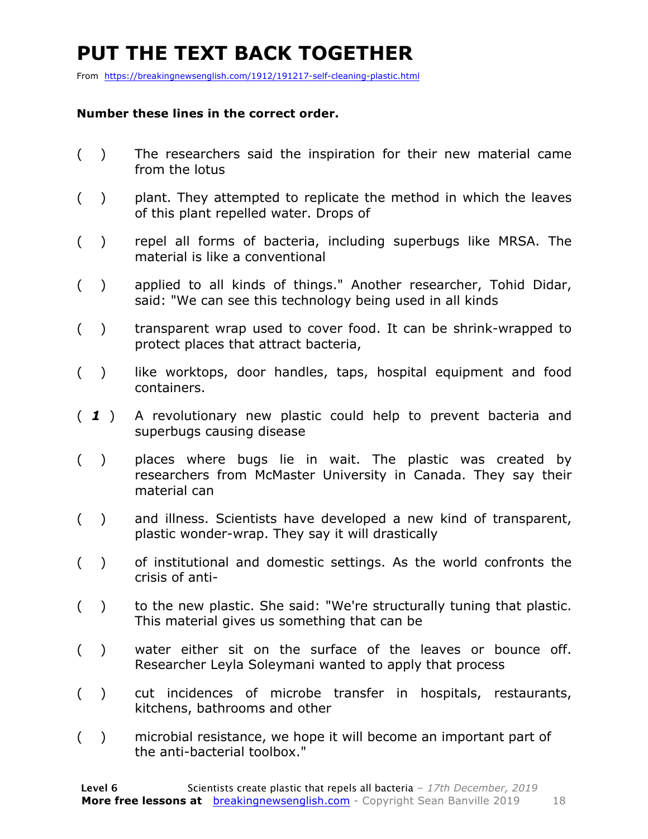### **PUT THE TEXT BACK TOGETHER**

From https://breakingnewsenglish.com/1912/191217-self-cleaning-plastic.html

#### **Number these lines in the correct order.**

- ( ) The researchers said the inspiration for their new material came from the lotus
- ( ) plant. They attempted to replicate the method in which the leaves of this plant repelled water. Drops of
- ( ) repel all forms of bacteria, including superbugs like MRSA. The material is like a conventional
- ( ) applied to all kinds of things." Another researcher, Tohid Didar, said: "We can see this technology being used in all kinds
- ( ) transparent wrap used to cover food. It can be shrink-wrapped to protect places that attract bacteria,
- () like worktops, door handles, taps, hospital equipment and food containers.
- ( *1* ) A revolutionary new plastic could help to prevent bacteria and superbugs causing disease
- ( ) places where bugs lie in wait. The plastic was created by researchers from McMaster University in Canada. They say their material can
- ( ) and illness. Scientists have developed a new kind of transparent, plastic wonder-wrap. They say it will drastically
- ( ) of institutional and domestic settings. As the world confronts the crisis of anti-
- () to the new plastic. She said: "We're structurally tuning that plastic. This material gives us something that can be
- ( ) water either sit on the surface of the leaves or bounce off. Researcher Leyla Soleymani wanted to apply that process
- ( ) cut incidences of microbe transfer in hospitals, restaurants, kitchens, bathrooms and other
- ( ) microbial resistance, we hope it will become an important part of the anti-bacterial toolbox."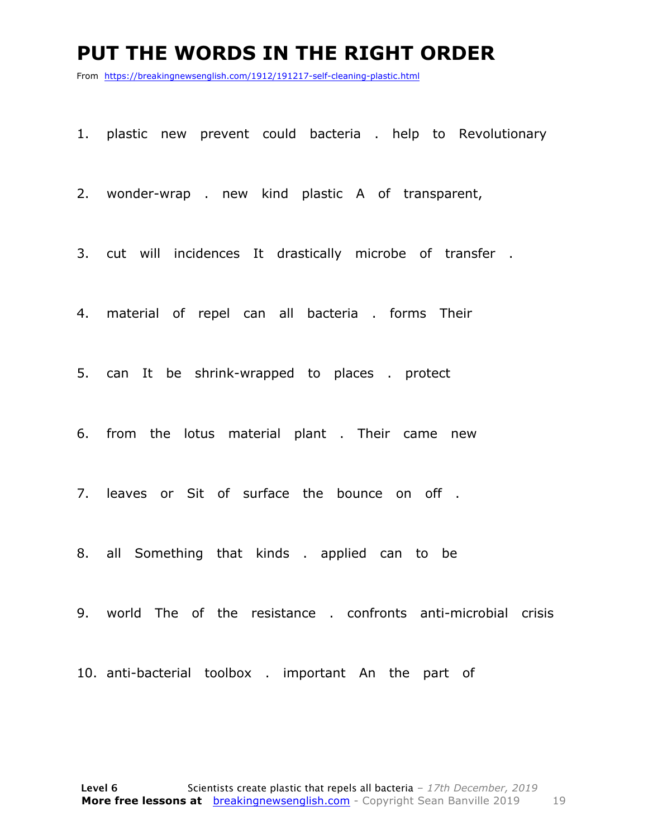#### **PUT THE WORDS IN THE RIGHT ORDER**

From https://breakingnewsenglish.com/1912/191217-self-cleaning-plastic.html

1. plastic new prevent could bacteria . help to Revolutionary

2. wonder-wrap . new kind plastic A of transparent,

3. cut will incidences It drastically microbe of transfer .

4. material of repel can all bacteria . forms Their

5. can It be shrink-wrapped to places . protect

6. from the lotus material plant . Their came new

7. leaves or Sit of surface the bounce on off .

8. all Something that kinds . applied can to be

9. world The of the resistance . confronts anti-microbial crisis

10. anti-bacterial toolbox . important An the part of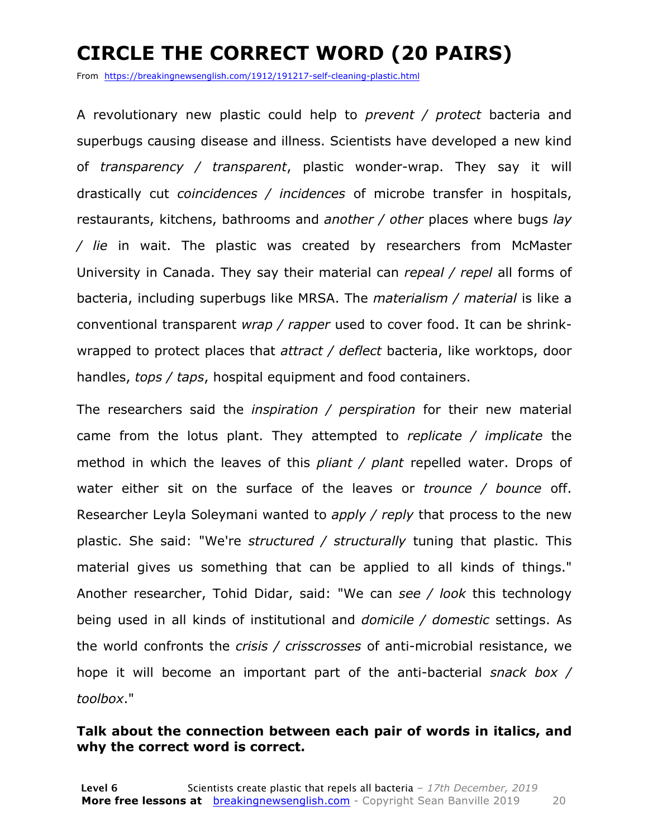### **CIRCLE THE CORRECT WORD (20 PAIRS)**

From https://breakingnewsenglish.com/1912/191217-self-cleaning-plastic.html

A revolutionary new plastic could help to *prevent / protect* bacteria and superbugs causing disease and illness. Scientists have developed a new kind of *transparency / transparent*, plastic wonder-wrap. They say it will drastically cut *coincidences / incidences* of microbe transfer in hospitals, restaurants, kitchens, bathrooms and *another / other* places where bugs *lay / lie* in wait. The plastic was created by researchers from McMaster University in Canada. They say their material can *repeal / repel* all forms of bacteria, including superbugs like MRSA. The *materialism / material* is like a conventional transparent *wrap / rapper* used to cover food. It can be shrinkwrapped to protect places that *attract / deflect* bacteria, like worktops, door handles, *tops / taps*, hospital equipment and food containers.

The researchers said the *inspiration / perspiration* for their new material came from the lotus plant. They attempted to *replicate / implicate* the method in which the leaves of this *pliant / plant* repelled water. Drops of water either sit on the surface of the leaves or *trounce / bounce* off. Researcher Leyla Soleymani wanted to *apply / reply* that process to the new plastic. She said: "We're *structured / structurally* tuning that plastic. This material gives us something that can be applied to all kinds of things." Another researcher, Tohid Didar, said: "We can *see / look* this technology being used in all kinds of institutional and *domicile / domestic* settings. As the world confronts the *crisis / crisscrosses* of anti-microbial resistance, we hope it will become an important part of the anti-bacterial *snack box / toolbox*."

#### **Talk about the connection between each pair of words in italics, and why the correct word is correct.**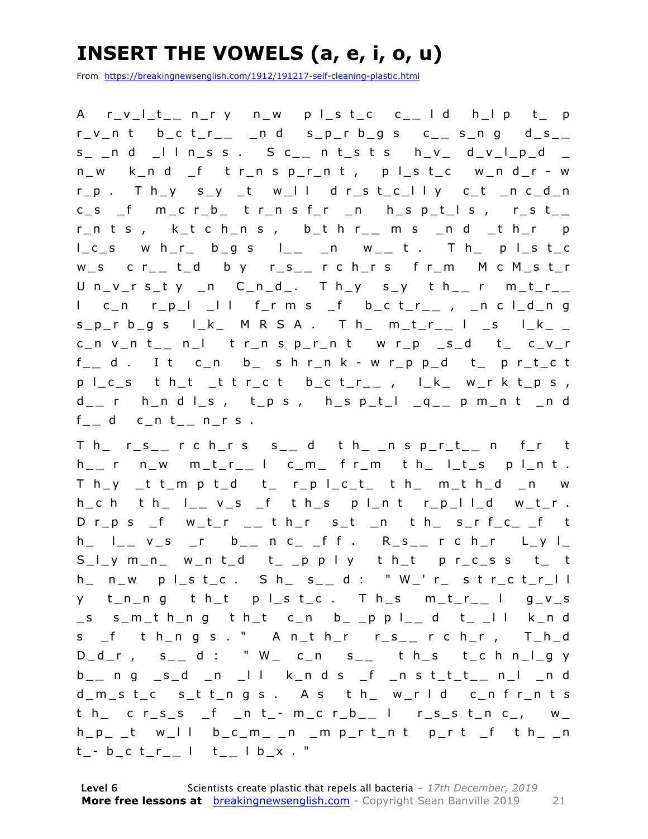### **INSERT THE VOWELS (a, e, i, o, u)**

From https://breakingnewsenglish.com/1912/191217-self-cleaning-plastic.html

A r\_v\_l\_t\_ **\_** n\_r y n\_w p l\_s t\_c c\_ **\_** l d h\_l p t\_ p r\_v\_n t b\_c t\_r\_ **\_** \_n d s\_p\_r b\_g s c\_ **\_** s\_n g d\_s\_ **\_**  s\_ \_n d \_l l n\_s s . S c\_ **\_** n t\_s t s h\_v\_ d\_v\_l\_p\_d \_ n\_w k\_n d \_f t r\_n s p\_r\_n t , p l\_s t\_c w\_n d\_r - w r\_p . T h\_y s\_y \_t w\_l l d r\_s t\_c\_l l y c\_t \_n c\_d\_n c\_s \_f m\_c r\_b\_ t r\_n s f\_r \_n h\_s p\_t\_l s , r\_s t\_ **\_**  r\_n t s , k\_t c h\_n s , b\_t h r\_ **\_** m s \_n d \_t h\_r p l\_c\_s w h\_r\_ b\_g s l\_ **\_** \_n w\_ **\_** t . T h\_ p l\_s t\_c w\_s c r\_ **\_** t\_d b y r\_s\_ **\_** r c h\_r s f r\_m M c M\_s t\_r U n\_v\_r s\_t y \_n C\_n\_d\_. T h\_y s\_y t h\_ **\_** r m\_t\_r\_ **\_**  l c\_n r\_p\_l \_l l f\_r m s \_f b\_c t\_r\_ **\_** , \_n c l\_d\_n g  $s_p$ <sup>r</sup> b\_g s l\_k\_ M R S A . T h\_ m\_t\_r\_\_ l \_s l\_k\_ \_ c\_n v\_n t\_ **\_** n\_l t r\_n s p\_r\_n t w r\_p \_s\_d t\_ c\_v\_r f \_ **\_** d . I t c\_n b\_ s h r\_n k - w r\_p p\_d t\_ p r\_t\_c t p l\_c\_s t h\_t \_t t r\_c t b\_ c t\_r\_ **\_** , l\_k\_ w\_r k t\_p s , d \_ **\_** r h\_n d l\_s , t\_p s , h\_s p\_t\_l \_q\_ **\_** p m\_n t \_n d f \_ **\_** d c\_n t\_ **\_** n\_r s .

T h\_ r\_s\_ **\_** r c h\_r s s\_ **\_** d t h\_ \_n s p\_r\_t\_ **\_** n f\_r t h \_ **\_** r n\_w m\_t\_r\_ **\_** l c\_m\_ f r\_m t h\_ l\_t\_s p l\_n t .  $T$  h\_y \_t t\_m p t\_d t\_ r\_p l\_c\_t\_ t h\_ m\_t h\_d \_n w h\_c h t h\_ l\_ **\_** v\_s \_f t h\_s p l\_n t r\_p\_l l\_d w\_t\_r . D r\_p s \_f w\_t\_r \_ **\_** t h\_r s\_t \_n t h\_ s\_r f\_c\_ \_f t h\_ l\_ **\_** v\_s \_r b\_ **\_** n c\_ \_f f . R\_s\_ **\_** r c h\_r L\_y l\_  $S_l$  y m\_n\_ w\_n t\_d t\_ \_p p l y t h\_t p r\_c\_s s t\_ t h\_ n\_w p l\_s t\_c . S h\_ s\_ **\_** d : " W\_' r\_ s t r\_c t\_r\_l l y t\_n\_n g t h\_t p l\_s t\_c . T h\_s m\_t\_r\_ **\_** l g\_v\_s \_s s\_m\_t h\_n g t h\_t c\_n b\_ \_p p l\_ **\_** d t\_ \_l l k\_n d s \_f t h\_n g s . " A n\_t h\_r r\_s\_ **\_** r c h\_r , T\_h\_d D\_d\_r , s\_ **\_** d : " W\_ c\_n s\_ **\_** t h\_s t\_c h n\_l\_g y b \_ **\_** n g \_s\_d \_n \_l l k\_n d s \_f \_n s t\_t\_t\_ **\_** n\_l \_n d d\_m\_s t\_c s\_t t\_n g s . A s t h\_ w\_r l d c\_n f r\_n t s t h\_ c r\_s \_s \_f \_n t\_ - m\_c r\_b\_ **\_** l r\_s\_s t\_n c\_, w\_  $h_p$  \_t w\_II b\_c\_m\_ \_n \_m p\_r t\_n t p\_r t \_f t h\_ \_n t \_ - b\_c t\_r\_ **\_** l t\_ **\_** l b\_x . "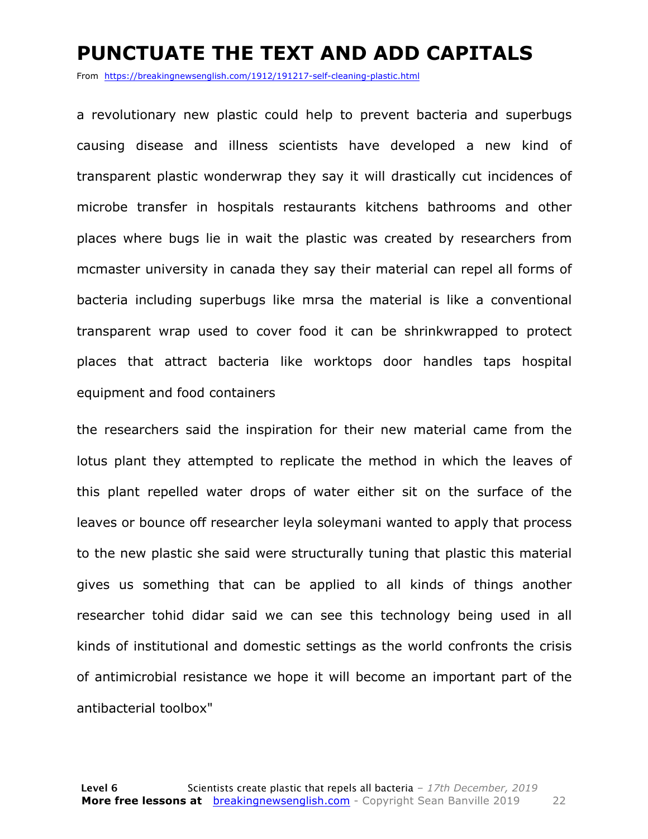#### **PUNCTUATE THE TEXT AND ADD CAPITALS**

From https://breakingnewsenglish.com/1912/191217-self-cleaning-plastic.html

a revolutionary new plastic could help to prevent bacteria and superbugs causing disease and illness scientists have developed a new kind of transparent plastic wonderwrap they say it will drastically cut incidences of microbe transfer in hospitals restaurants kitchens bathrooms and other places where bugs lie in wait the plastic was created by researchers from mcmaster university in canada they say their material can repel all forms of bacteria including superbugs like mrsa the material is like a conventional transparent wrap used to cover food it can be shrinkwrapped to protect places that attract bacteria like worktops door handles taps hospital equipment and food containers

the researchers said the inspiration for their new material came from the lotus plant they attempted to replicate the method in which the leaves of this plant repelled water drops of water either sit on the surface of the leaves or bounce off researcher leyla soleymani wanted to apply that process to the new plastic she said were structurally tuning that plastic this material gives us something that can be applied to all kinds of things another researcher tohid didar said we can see this technology being used in all kinds of institutional and domestic settings as the world confronts the crisis of antimicrobial resistance we hope it will become an important part of the antibacterial toolbox"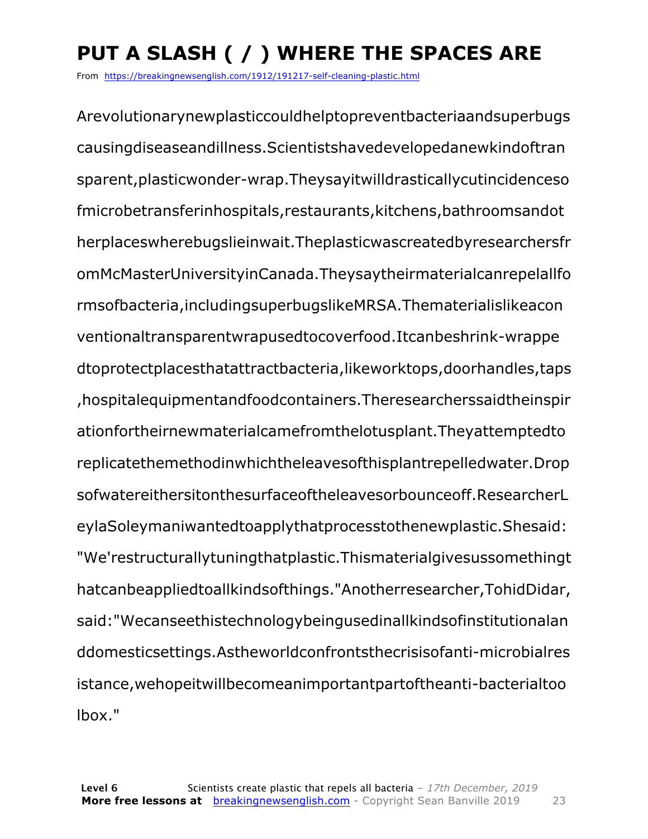## **PUT A SLASH ( / ) WHERE THE SPACES ARE**

From https://breakingnewsenglish.com/1912/191217-self-cleaning-plastic.html

Arevolutionarynewplasticcouldhelptopreventbacteriaandsuperbugs causingdiseaseandillness.Scientistshavedevelopedanewkindoftran sparent,plasticwonder-wrap.Theysayitwilldrasticallycutincidenceso fmicrobetransferinhospitals,restaurants,kitchens,bathroomsandot herplaceswherebugslieinwait.Theplasticwascreatedbyresearchersfr omMcMasterUniversityinCanada.Theysaytheirmaterialcanrepelallfo rmsofbacteria,includingsuperbugslikeMRSA.Thematerialislikeacon ventionaltransparentwrapusedtocoverfood.Itcanbeshrink-wrappe dtoprotectplacesthatattractbacteria,likeworktops,doorhandles,taps ,hospitalequipmentandfoodcontainers.Theresearcherssaidtheinspir ationfortheirnewmaterialcamefromthelotusplant.Theyattemptedto replicatethemethodinwhichtheleavesofthisplantrepelledwater.Drop sofwatereithersitonthesurfaceoftheleavesorbounceoff.ResearcherL eylaSoleymaniwantedtoapplythatprocesstothenewplastic.Shesaid: "We'restructurallytuningthatplastic.Thismaterialgivesussomethingt hatcanbeappliedtoallkindsofthings."Anotherresearcher,TohidDidar, said:"Wecanseethistechnologybeingusedinallkindsofinstitutionalan ddomesticsettings.Astheworldconfrontsthecrisisofanti-microbialres istance,wehopeitwillbecomeanimportantpartoftheanti-bacterialtoo lbox."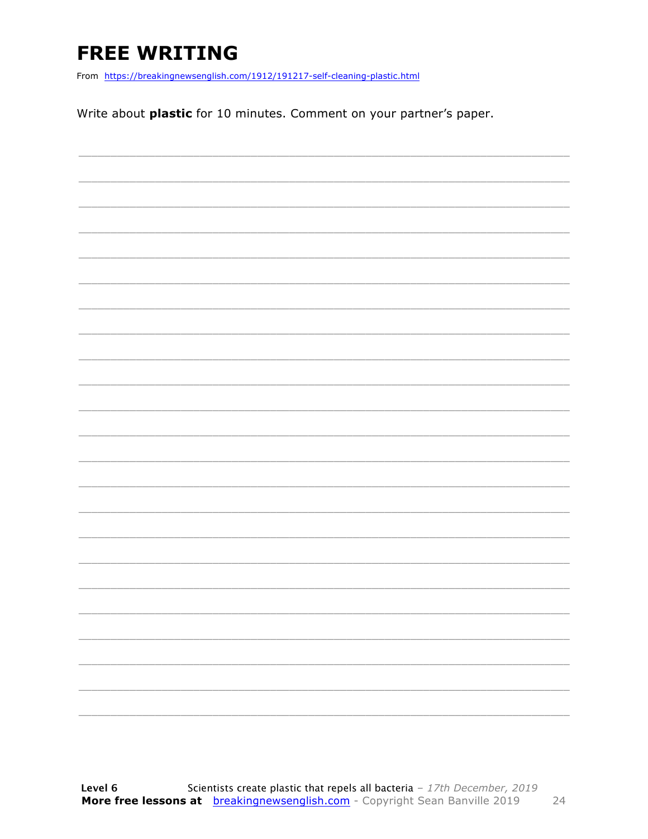### **FREE WRITING**

From https://breakingnewsenglish.com/1912/191217-self-cleaning-plastic.html

Write about plastic for 10 minutes. Comment on your partner's paper.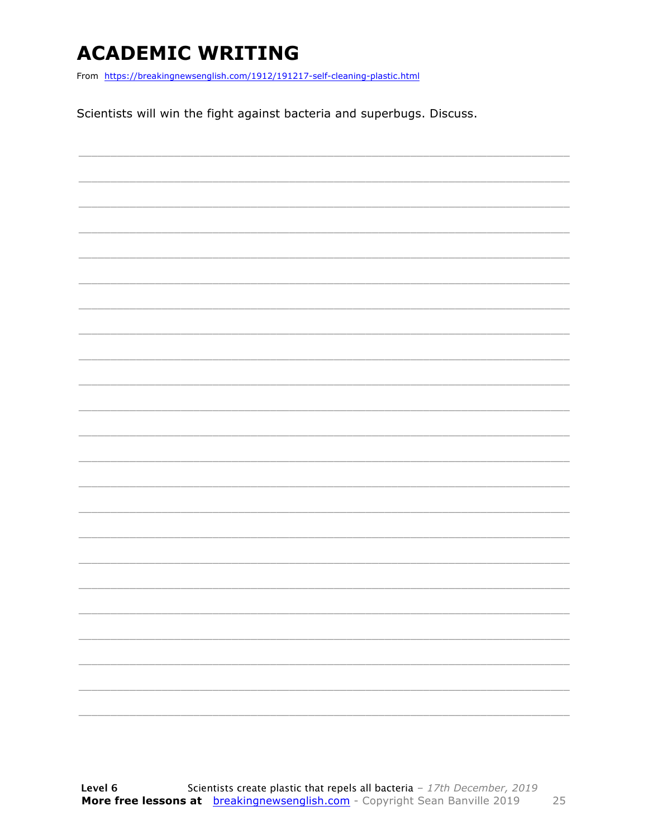### **ACADEMIC WRITING**

From https://breakingnewsenglish.com/1912/191217-self-cleaning-plastic.html

Scientists will win the fight against bacteria and superbugs. Discuss.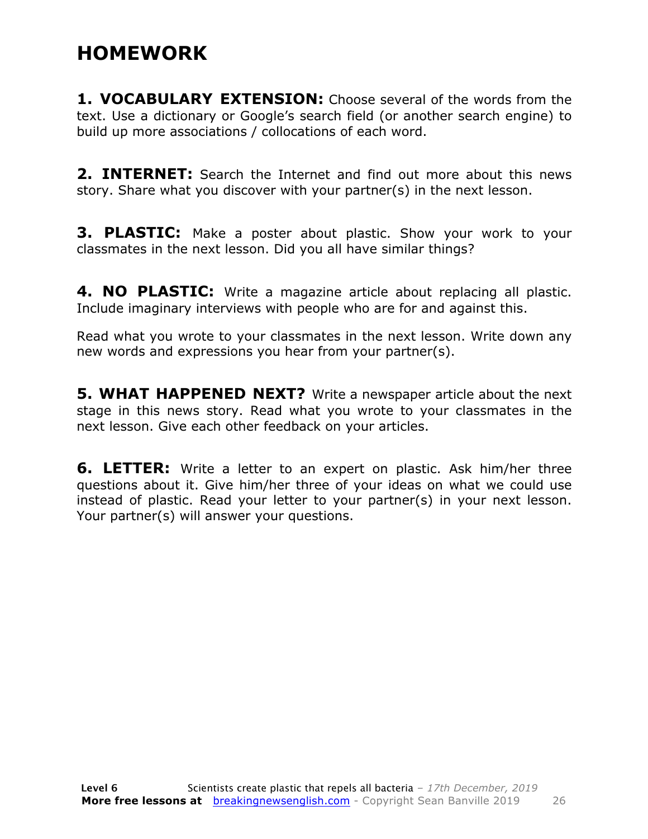#### **HOMEWORK**

**1. VOCABULARY EXTENSION:** Choose several of the words from the text. Use a dictionary or Google's search field (or another search engine) to build up more associations / collocations of each word.

**2. INTERNET:** Search the Internet and find out more about this news story. Share what you discover with your partner(s) in the next lesson.

**3. PLASTIC:** Make a poster about plastic. Show your work to your classmates in the next lesson. Did you all have similar things?

**4. NO PLASTIC:** Write a magazine article about replacing all plastic. Include imaginary interviews with people who are for and against this.

Read what you wrote to your classmates in the next lesson. Write down any new words and expressions you hear from your partner(s).

**5. WHAT HAPPENED NEXT?** Write a newspaper article about the next stage in this news story. Read what you wrote to your classmates in the next lesson. Give each other feedback on your articles.

**6. LETTER:** Write a letter to an expert on plastic. Ask him/her three questions about it. Give him/her three of your ideas on what we could use instead of plastic. Read your letter to your partner(s) in your next lesson. Your partner(s) will answer your questions.